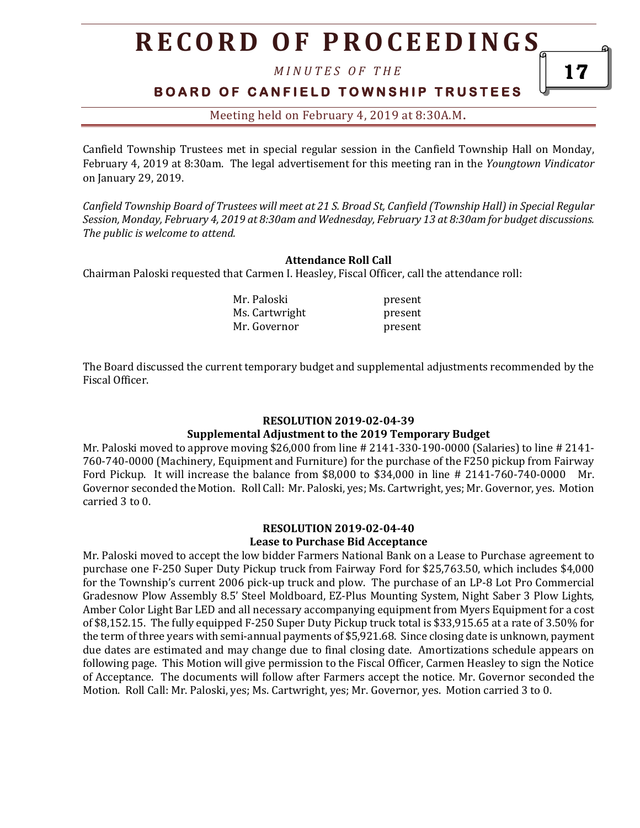# **R E C O R D O F P R O C E E D I N GS**

*M I N U T E S O F T H E* 

## **B O A R D O F C A N F I E L D T O W N S H I P T R U S T E E S**

Meeting held on February 4, 2019 at 8:30A.M**.**

Canfield Township Trustees met in special regular session in the Canfield Township Hall on Monday, February 4, 2019 at 8:30am. The legal advertisement for this meeting ran in the *Youngtown Vindicator* on January 29, 2019.

*Canfield Township Board of Trustees will meet at 21 S. Broad St, Canfield (Township Hall) in Special Regular Session, Monday, February 4, 2019 at 8:30am and Wednesday, February 13 at 8:30am for budget discussions. The public is welcome to attend.*

#### **Attendance Roll Call**

Chairman Paloski requested that Carmen I. Heasley, Fiscal Officer, call the attendance roll:

Mr. Paloski present Ms. Cartwright present Mr. Governor **present** 

The Board discussed the current temporary budget and supplemental adjustments recommended by the Fiscal Officer.

#### **RESOLUTION 2019-02-04-39 Supplemental Adjustment to the 2019 Temporary Budget**

Mr. Paloski moved to approve moving \$26,000 from line # 2141-330-190-0000 (Salaries) to line # 2141- 760-740-0000 (Machinery, Equipment and Furniture) for the purchase of the F250 pickup from Fairway Ford Pickup. It will increase the balance from \$8,000 to \$34,000 in line # 2141-760-740-0000 Mr. Governor seconded the Motion. Roll Call: Mr. Paloski, yes; Ms. Cartwright, yes; Mr. Governor, yes. Motion carried 3 to 0.

#### **RESOLUTION 2019-02-04-40 Lease to Purchase Bid Acceptance**

Mr. Paloski moved to accept the low bidder Farmers National Bank on a Lease to Purchase agreement to purchase one F-250 Super Duty Pickup truck from Fairway Ford for \$25,763.50, which includes \$4,000 for the Township's current 2006 pick-up truck and plow. The purchase of an LP-8 Lot Pro Commercial Gradesnow Plow Assembly 8.5' Steel Moldboard, EZ-Plus Mounting System, Night Saber 3 Plow Lights, Amber Color Light Bar LED and all necessary accompanying equipment from Myers Equipment for a cost of \$8,152.15. The fully equipped F-250 Super Duty Pickup truck total is \$33,915.65 at a rate of 3.50% for the term of three years with semi-annual payments of \$5,921.68. Since closing date is unknown, payment due dates are estimated and may change due to final closing date. Amortizations schedule appears on following page. This Motion will give permission to the Fiscal Officer, Carmen Heasley to sign the Notice of Acceptance. The documents will follow after Farmers accept the notice. Mr. Governor seconded the Motion. Roll Call: Mr. Paloski, yes; Ms. Cartwright, yes; Mr. Governor, yes. Motion carried 3 to 0.

17